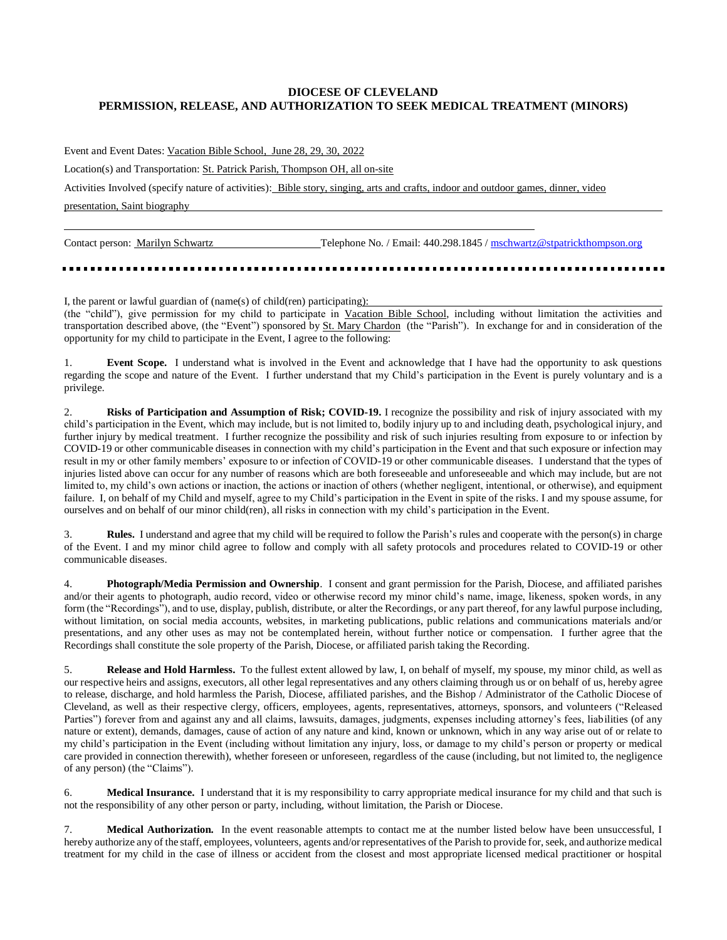## **DIOCESE OF CLEVELAND PERMISSION, RELEASE, AND AUTHORIZATION TO SEEK MEDICAL TREATMENT (MINORS)**

Event and Event Dates: Vacation Bible School, June 28, 29, 30, 2022

Location(s) and Transportation: St. Patrick Parish, Thompson OH, all on-site

Activities Involved (specify nature of activities): Bible story, singing, arts and crafts, indoor and outdoor games, dinner, video

presentation, Saint biography

Contact person: Marilyn Schwartz Telephone No. / Email: 440.298.1845 / mschwartz@stpatrickthompson.org

I, the parent or lawful guardian of (name(s) of child(ren) participating): (the "child"), give permission for my child to participate in Vacation Bible School, including without limitation the activities and transportation described above, (the "Event") sponsored by St. Mary Chardon (the "Parish"). In exchange for and in consideration of the opportunity for my child to participate in the Event, I agree to the following:

1. **Event Scope.** I understand what is involved in the Event and acknowledge that I have had the opportunity to ask questions regarding the scope and nature of the Event. I further understand that my Child's participation in the Event is purely voluntary and is a privilege.

2. **Risks of Participation and Assumption of Risk; COVID-19.** I recognize the possibility and risk of injury associated with my child's participation in the Event, which may include, but is not limited to, bodily injury up to and including death, psychological injury, and further injury by medical treatment. I further recognize the possibility and risk of such injuries resulting from exposure to or infection by COVID-19 or other communicable diseases in connection with my child's participation in the Event and that such exposure or infection may result in my or other family members' exposure to or infection of COVID-19 or other communicable diseases. I understand that the types of injuries listed above can occur for any number of reasons which are both foreseeable and unforeseeable and which may include, but are not limited to, my child's own actions or inaction, the actions or inaction of others (whether negligent, intentional, or otherwise), and equipment failure. I, on behalf of my Child and myself, agree to my Child's participation in the Event in spite of the risks. I and my spouse assume, for ourselves and on behalf of our minor child(ren), all risks in connection with my child's participation in the Event.

3. **Rules.** I understand and agree that my child will be required to follow the Parish's rules and cooperate with the person(s) in charge of the Event. I and my minor child agree to follow and comply with all safety protocols and procedures related to COVID-19 or other communicable diseases.

4. **Photograph/Media Permission and Ownership**. I consent and grant permission for the Parish, Diocese, and affiliated parishes and/or their agents to photograph, audio record, video or otherwise record my minor child's name, image, likeness, spoken words, in any form (the "Recordings"), and to use, display, publish, distribute, or alter the Recordings, or any part thereof, for any lawful purpose including, without limitation, on social media accounts, websites, in marketing publications, public relations and communications materials and/or presentations, and any other uses as may not be contemplated herein, without further notice or compensation. I further agree that the Recordings shall constitute the sole property of the Parish, Diocese, or affiliated parish taking the Recording.

5. **Release and Hold Harmless.** To the fullest extent allowed by law, I, on behalf of myself, my spouse, my minor child, as well as our respective heirs and assigns, executors, all other legal representatives and any others claiming through us or on behalf of us, hereby agree to release, discharge, and hold harmless the Parish, Diocese, affiliated parishes, and the Bishop / Administrator of the Catholic Diocese of Cleveland, as well as their respective clergy, officers, employees, agents, representatives, attorneys, sponsors, and volunteers ("Released Parties") forever from and against any and all claims, lawsuits, damages, judgments, expenses including attorney's fees, liabilities (of any nature or extent), demands, damages, cause of action of any nature and kind, known or unknown, which in any way arise out of or relate to my child's participation in the Event (including without limitation any injury, loss, or damage to my child's person or property or medical care provided in connection therewith), whether foreseen or unforeseen, regardless of the cause (including, but not limited to, the negligence of any person) (the "Claims").

6. **Medical Insurance.** I understand that it is my responsibility to carry appropriate medical insurance for my child and that such is not the responsibility of any other person or party, including, without limitation, the Parish or Diocese.

7. **Medical Authorization.** In the event reasonable attempts to contact me at the number listed below have been unsuccessful, I hereby authorize any of the staff, employees, volunteers, agents and/or representatives of the Parish to provide for, seek, and authorize medical treatment for my child in the case of illness or accident from the closest and most appropriate licensed medical practitioner or hospital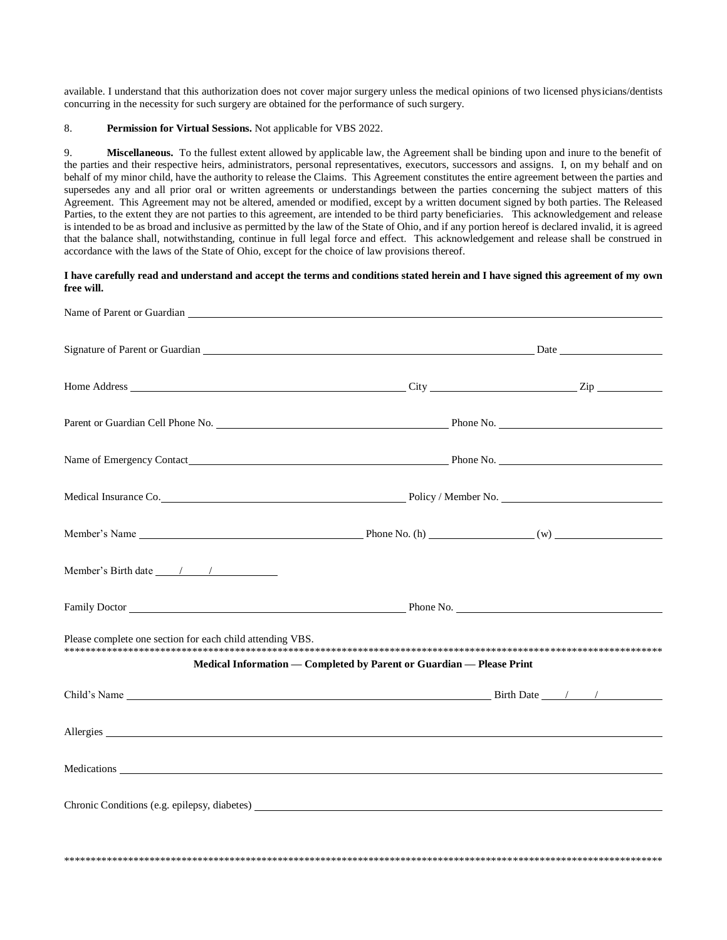available. I understand that this authorization does not cover major surgery unless the medical opinions of two licensed physicians/dentists concurring in the necessity for such surgery are obtained for the performance of such surgery.

## 8. Permission for Virtual Sessions. Not applicable for VBS 2022.

Miscellaneous. To the fullest extent allowed by applicable law, the Agreement shall be binding upon and inure to the benefit of 9. the parties and their respective heirs, administrators, personal representatives, executors, successors and assigns. I, on my behalf and on behalf of my minor child, have the authority to release the Claims. This Agreement constitutes the entire agreement between the parties and supersedes any and all prior oral or written agreements or understandings between the parties concerning the subject matters of this Agreement. This Agreement may not be altered, amended or modified, except by a written document signed by both parties. The Released Parties, to the extent they are not parties to this agreement, are intended to be third party beneficiaries. This acknowledgement and release is intended to be as broad and inclusive as permitted by the law of the State of Ohio, and if any portion hereof is declared invalid, it is agreed that the balance shall, notwithstanding, continue in full legal force and effect. This acknowledgement and release shall be construed in accordance with the laws of the State of Ohio, except for the choice of law provisions thereof.

## I have carefully read and understand and accept the terms and conditions stated herein and I have signed this agreement of my own free will.

|                                                                                                                                                                                                                                | Medical Insurance Co. New York 1999 and 2009 and 2009 and 2009 and 2009 and 2009 and 2009 and 2009 and 2009 and 2009 and 2009 and 2009 and 2009 and 2009 and 2009 and 2009 and 2009 and 2009 and 2009 and 2009 and 2009 and 20 |  |  |  |
|--------------------------------------------------------------------------------------------------------------------------------------------------------------------------------------------------------------------------------|--------------------------------------------------------------------------------------------------------------------------------------------------------------------------------------------------------------------------------|--|--|--|
|                                                                                                                                                                                                                                |                                                                                                                                                                                                                                |  |  |  |
|                                                                                                                                                                                                                                |                                                                                                                                                                                                                                |  |  |  |
|                                                                                                                                                                                                                                | Family Doctor <u>Communication Communication</u> Phone No.                                                                                                                                                                     |  |  |  |
| Please complete one section for each child attending VBS.                                                                                                                                                                      | Medical Information — Completed by Parent or Guardian — Please Print                                                                                                                                                           |  |  |  |
|                                                                                                                                                                                                                                |                                                                                                                                                                                                                                |  |  |  |
|                                                                                                                                                                                                                                |                                                                                                                                                                                                                                |  |  |  |
|                                                                                                                                                                                                                                |                                                                                                                                                                                                                                |  |  |  |
| Chronic Conditions (e.g. epilepsy, diabetes) Lawrence and the conditions of the conditions of the conditions of the conditions of the conditions of the conditions of the conditions of the conditions of the conditions of th |                                                                                                                                                                                                                                |  |  |  |
|                                                                                                                                                                                                                                |                                                                                                                                                                                                                                |  |  |  |